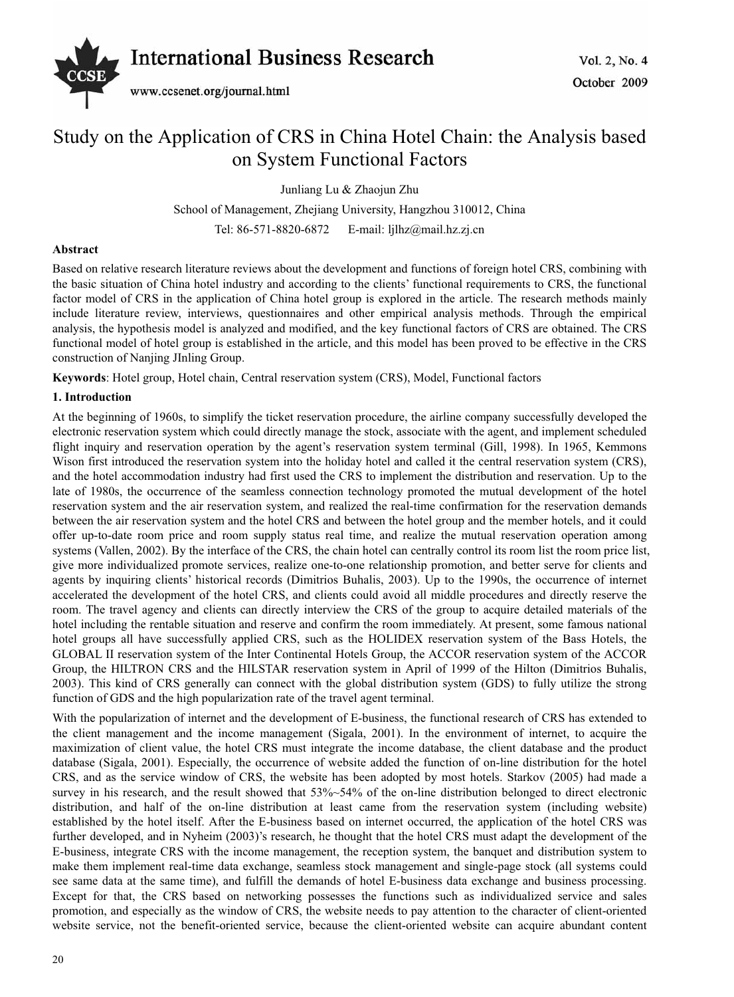

# Study on the Application of CRS in China Hotel Chain: the Analysis based on System Functional Factors

Junliang Lu & Zhaojun Zhu

School of Management, Zhejiang University, Hangzhou 310012, China Tel: 86-571-8820-6872 E-mail: ljlhz@mail.hz.zj.cn

## **Abstract**

Based on relative research literature reviews about the development and functions of foreign hotel CRS, combining with the basic situation of China hotel industry and according to the clients' functional requirements to CRS, the functional factor model of CRS in the application of China hotel group is explored in the article. The research methods mainly include literature review, interviews, questionnaires and other empirical analysis methods. Through the empirical analysis, the hypothesis model is analyzed and modified, and the key functional factors of CRS are obtained. The CRS functional model of hotel group is established in the article, and this model has been proved to be effective in the CRS construction of Nanjing JInling Group.

**Keywords**: Hotel group, Hotel chain, Central reservation system (CRS), Model, Functional factors

## **1. Introduction**

At the beginning of 1960s, to simplify the ticket reservation procedure, the airline company successfully developed the electronic reservation system which could directly manage the stock, associate with the agent, and implement scheduled flight inquiry and reservation operation by the agent's reservation system terminal (Gill, 1998). In 1965, Kemmons Wison first introduced the reservation system into the holiday hotel and called it the central reservation system (CRS), and the hotel accommodation industry had first used the CRS to implement the distribution and reservation. Up to the late of 1980s, the occurrence of the seamless connection technology promoted the mutual development of the hotel reservation system and the air reservation system, and realized the real-time confirmation for the reservation demands between the air reservation system and the hotel CRS and between the hotel group and the member hotels, and it could offer up-to-date room price and room supply status real time, and realize the mutual reservation operation among systems (Vallen, 2002). By the interface of the CRS, the chain hotel can centrally control its room list the room price list, give more individualized promote services, realize one-to-one relationship promotion, and better serve for clients and agents by inquiring clients' historical records (Dimitrios Buhalis, 2003). Up to the 1990s, the occurrence of internet accelerated the development of the hotel CRS, and clients could avoid all middle procedures and directly reserve the room. The travel agency and clients can directly interview the CRS of the group to acquire detailed materials of the hotel including the rentable situation and reserve and confirm the room immediately. At present, some famous national hotel groups all have successfully applied CRS, such as the HOLIDEX reservation system of the Bass Hotels, the GLOBAL II reservation system of the Inter Continental Hotels Group, the ACCOR reservation system of the ACCOR Group, the HILTRON CRS and the HILSTAR reservation system in April of 1999 of the Hilton (Dimitrios Buhalis, 2003). This kind of CRS generally can connect with the global distribution system (GDS) to fully utilize the strong function of GDS and the high popularization rate of the travel agent terminal.

With the popularization of internet and the development of E-business, the functional research of CRS has extended to the client management and the income management (Sigala, 2001). In the environment of internet, to acquire the maximization of client value, the hotel CRS must integrate the income database, the client database and the product database (Sigala, 2001). Especially, the occurrence of website added the function of on-line distribution for the hotel CRS, and as the service window of CRS, the website has been adopted by most hotels. Starkov (2005) had made a survey in his research, and the result showed that 53%~54% of the on-line distribution belonged to direct electronic distribution, and half of the on-line distribution at least came from the reservation system (including website) established by the hotel itself. After the E-business based on internet occurred, the application of the hotel CRS was further developed, and in Nyheim (2003)'s research, he thought that the hotel CRS must adapt the development of the E-business, integrate CRS with the income management, the reception system, the banquet and distribution system to make them implement real-time data exchange, seamless stock management and single-page stock (all systems could see same data at the same time), and fulfill the demands of hotel E-business data exchange and business processing. Except for that, the CRS based on networking possesses the functions such as individualized service and sales promotion, and especially as the window of CRS, the website needs to pay attention to the character of client-oriented website service, not the benefit-oriented service, because the client-oriented website can acquire abundant content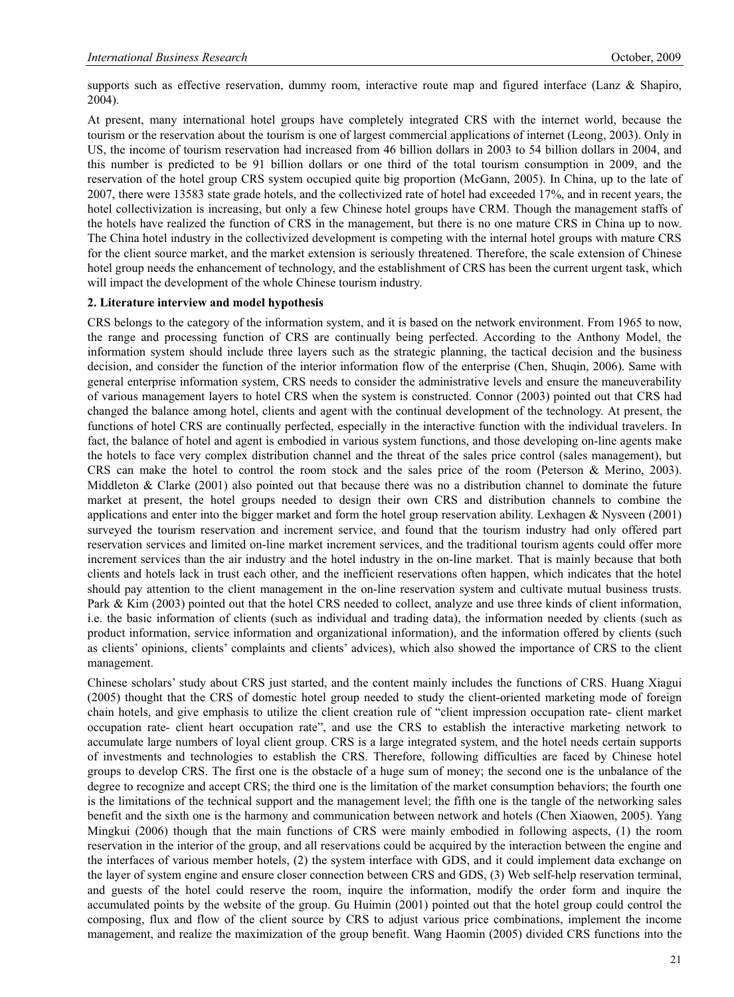supports such as effective reservation, dummy room, interactive route map and figured interface (Lanz & Shapiro, 2004).

At present, many international hotel groups have completely integrated CRS with the internet world, because the tourism or the reservation about the tourism is one of largest commercial applications of internet (Leong, 2003). Only in US, the income of tourism reservation had increased from 46 billion dollars in 2003 to 54 billion dollars in 2004, and this number is predicted to be 91 billion dollars or one third of the total tourism consumption in 2009, and the reservation of the hotel group CRS system occupied quite big proportion (McGann, 2005). In China, up to the late of 2007, there were 13583 state grade hotels, and the collectivized rate of hotel had exceeded 17%, and in recent years, the hotel collectivization is increasing, but only a few Chinese hotel groups have CRM. Though the management staffs of the hotels have realized the function of CRS in the management, but there is no one mature CRS in China up to now. The China hotel industry in the collectivized development is competing with the internal hotel groups with mature CRS for the client source market, and the market extension is seriously threatened. Therefore, the scale extension of Chinese hotel group needs the enhancement of technology, and the establishment of CRS has been the current urgent task, which will impact the development of the whole Chinese tourism industry.

#### **2. Literature interview and model hypothesis**

CRS belongs to the category of the information system, and it is based on the network environment. From 1965 to now, the range and processing function of CRS are continually being perfected. According to the Anthony Model, the information system should include three layers such as the strategic planning, the tactical decision and the business decision, and consider the function of the interior information flow of the enterprise (Chen, Shuqin, 2006). Same with general enterprise information system, CRS needs to consider the administrative levels and ensure the maneuverability of various management layers to hotel CRS when the system is constructed. Connor (2003) pointed out that CRS had changed the balance among hotel, clients and agent with the continual development of the technology. At present, the functions of hotel CRS are continually perfected, especially in the interactive function with the individual travelers. In fact, the balance of hotel and agent is embodied in various system functions, and those developing on-line agents make the hotels to face very complex distribution channel and the threat of the sales price control (sales management), but CRS can make the hotel to control the room stock and the sales price of the room (Peterson & Merino, 2003). Middleton & Clarke (2001) also pointed out that because there was no a distribution channel to dominate the future market at present, the hotel groups needed to design their own CRS and distribution channels to combine the applications and enter into the bigger market and form the hotel group reservation ability. Lexhagen & Nysveen (2001) surveyed the tourism reservation and increment service, and found that the tourism industry had only offered part reservation services and limited on-line market increment services, and the traditional tourism agents could offer more increment services than the air industry and the hotel industry in the on-line market. That is mainly because that both clients and hotels lack in trust each other, and the inefficient reservations often happen, which indicates that the hotel should pay attention to the client management in the on-line reservation system and cultivate mutual business trusts. Park & Kim (2003) pointed out that the hotel CRS needed to collect, analyze and use three kinds of client information, i.e. the basic information of clients (such as individual and trading data), the information needed by clients (such as product information, service information and organizational information), and the information offered by clients (such as clients' opinions, clients' complaints and clients' advices), which also showed the importance of CRS to the client management.

Chinese scholars' study about CRS just started, and the content mainly includes the functions of CRS. Huang Xiagui (2005) thought that the CRS of domestic hotel group needed to study the client-oriented marketing mode of foreign chain hotels, and give emphasis to utilize the client creation rule of "client impression occupation rate- client market occupation rate- client heart occupation rate", and use the CRS to establish the interactive marketing network to accumulate large numbers of loyal client group. CRS is a large integrated system, and the hotel needs certain supports of investments and technologies to establish the CRS. Therefore, following difficulties are faced by Chinese hotel groups to develop CRS. The first one is the obstacle of a huge sum of money; the second one is the unbalance of the degree to recognize and accept CRS; the third one is the limitation of the market consumption behaviors; the fourth one is the limitations of the technical support and the management level; the fifth one is the tangle of the networking sales benefit and the sixth one is the harmony and communication between network and hotels (Chen Xiaowen, 2005). Yang Mingkui (2006) though that the main functions of CRS were mainly embodied in following aspects, (1) the room reservation in the interior of the group, and all reservations could be acquired by the interaction between the engine and the interfaces of various member hotels, (2) the system interface with GDS, and it could implement data exchange on the layer of system engine and ensure closer connection between CRS and GDS, (3) Web self-help reservation terminal, and guests of the hotel could reserve the room, inquire the information, modify the order form and inquire the accumulated points by the website of the group. Gu Huimin (2001) pointed out that the hotel group could control the composing, flux and flow of the client source by CRS to adjust various price combinations, implement the income management, and realize the maximization of the group benefit. Wang Haomin (2005) divided CRS functions into the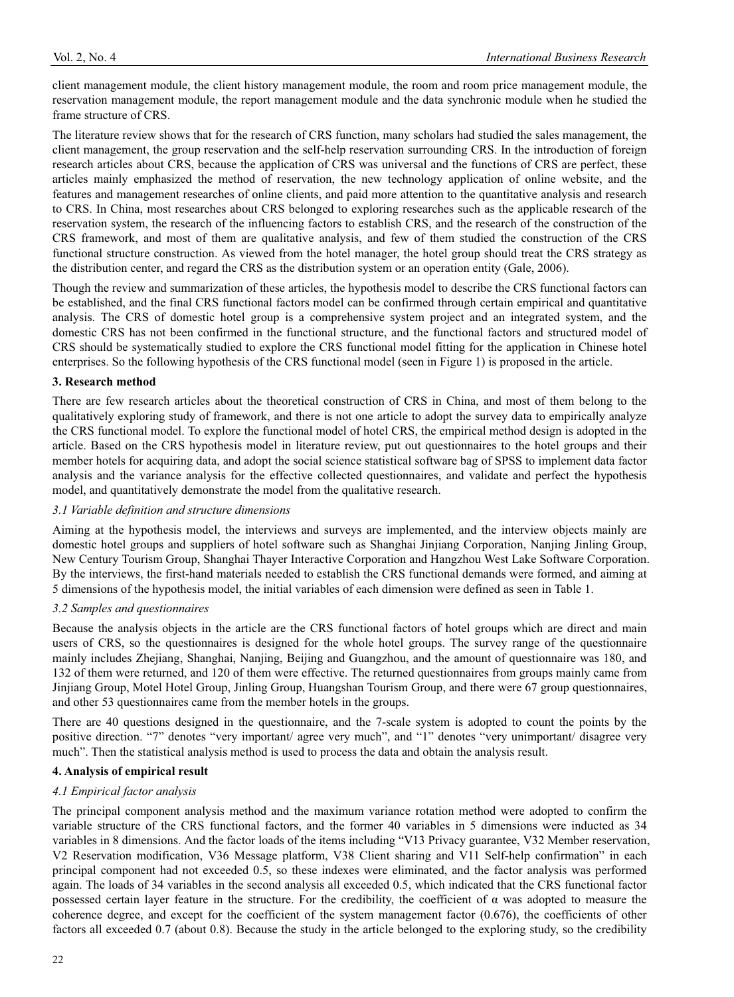client management module, the client history management module, the room and room price management module, the reservation management module, the report management module and the data synchronic module when he studied the frame structure of CRS.

The literature review shows that for the research of CRS function, many scholars had studied the sales management, the client management, the group reservation and the self-help reservation surrounding CRS. In the introduction of foreign research articles about CRS, because the application of CRS was universal and the functions of CRS are perfect, these articles mainly emphasized the method of reservation, the new technology application of online website, and the features and management researches of online clients, and paid more attention to the quantitative analysis and research to CRS. In China, most researches about CRS belonged to exploring researches such as the applicable research of the reservation system, the research of the influencing factors to establish CRS, and the research of the construction of the CRS framework, and most of them are qualitative analysis, and few of them studied the construction of the CRS functional structure construction. As viewed from the hotel manager, the hotel group should treat the CRS strategy as the distribution center, and regard the CRS as the distribution system or an operation entity (Gale, 2006).

Though the review and summarization of these articles, the hypothesis model to describe the CRS functional factors can be established, and the final CRS functional factors model can be confirmed through certain empirical and quantitative analysis. The CRS of domestic hotel group is a comprehensive system project and an integrated system, and the domestic CRS has not been confirmed in the functional structure, and the functional factors and structured model of CRS should be systematically studied to explore the CRS functional model fitting for the application in Chinese hotel enterprises. So the following hypothesis of the CRS functional model (seen in Figure 1) is proposed in the article.

## **3. Research method**

There are few research articles about the theoretical construction of CRS in China, and most of them belong to the qualitatively exploring study of framework, and there is not one article to adopt the survey data to empirically analyze the CRS functional model. To explore the functional model of hotel CRS, the empirical method design is adopted in the article. Based on the CRS hypothesis model in literature review, put out questionnaires to the hotel groups and their member hotels for acquiring data, and adopt the social science statistical software bag of SPSS to implement data factor analysis and the variance analysis for the effective collected questionnaires, and validate and perfect the hypothesis model, and quantitatively demonstrate the model from the qualitative research.

## *3.1 Variable definition and structure dimensions*

Aiming at the hypothesis model, the interviews and surveys are implemented, and the interview objects mainly are domestic hotel groups and suppliers of hotel software such as Shanghai Jinjiang Corporation, Nanjing Jinling Group, New Century Tourism Group, Shanghai Thayer Interactive Corporation and Hangzhou West Lake Software Corporation. By the interviews, the first-hand materials needed to establish the CRS functional demands were formed, and aiming at 5 dimensions of the hypothesis model, the initial variables of each dimension were defined as seen in Table 1.

## *3.2 Samples and questionnaires*

Because the analysis objects in the article are the CRS functional factors of hotel groups which are direct and main users of CRS, so the questionnaires is designed for the whole hotel groups. The survey range of the questionnaire mainly includes Zhejiang, Shanghai, Nanjing, Beijing and Guangzhou, and the amount of questionnaire was 180, and 132 of them were returned, and 120 of them were effective. The returned questionnaires from groups mainly came from Jinjiang Group, Motel Hotel Group, Jinling Group, Huangshan Tourism Group, and there were 67 group questionnaires, and other 53 questionnaires came from the member hotels in the groups.

There are 40 questions designed in the questionnaire, and the 7-scale system is adopted to count the points by the positive direction. "7" denotes "very important/ agree very much", and "1" denotes "very unimportant/ disagree very much". Then the statistical analysis method is used to process the data and obtain the analysis result.

## **4. Analysis of empirical result**

## *4.1 Empirical factor analysis*

The principal component analysis method and the maximum variance rotation method were adopted to confirm the variable structure of the CRS functional factors, and the former 40 variables in 5 dimensions were inducted as 34 variables in 8 dimensions. And the factor loads of the items including "V13 Privacy guarantee, V32 Member reservation, V2 Reservation modification, V36 Message platform, V38 Client sharing and V11 Self-help confirmation" in each principal component had not exceeded 0.5, so these indexes were eliminated, and the factor analysis was performed again. The loads of 34 variables in the second analysis all exceeded 0.5, which indicated that the CRS functional factor possessed certain layer feature in the structure. For the credibility, the coefficient of  $\alpha$  was adopted to measure the coherence degree, and except for the coefficient of the system management factor (0.676), the coefficients of other factors all exceeded 0.7 (about 0.8). Because the study in the article belonged to the exploring study, so the credibility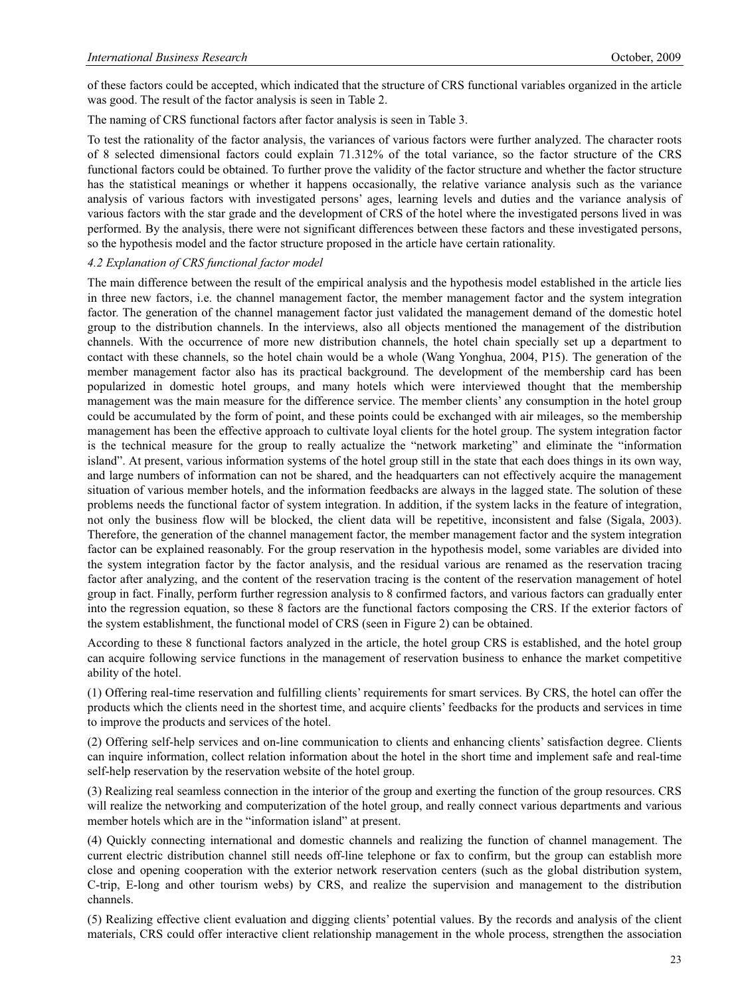of these factors could be accepted, which indicated that the structure of CRS functional variables organized in the article was good. The result of the factor analysis is seen in Table 2.

The naming of CRS functional factors after factor analysis is seen in Table 3.

To test the rationality of the factor analysis, the variances of various factors were further analyzed. The character roots of 8 selected dimensional factors could explain 71.312% of the total variance, so the factor structure of the CRS functional factors could be obtained. To further prove the validity of the factor structure and whether the factor structure has the statistical meanings or whether it happens occasionally, the relative variance analysis such as the variance analysis of various factors with investigated persons' ages, learning levels and duties and the variance analysis of various factors with the star grade and the development of CRS of the hotel where the investigated persons lived in was performed. By the analysis, there were not significant differences between these factors and these investigated persons, so the hypothesis model and the factor structure proposed in the article have certain rationality.

#### *4.2 Explanation of CRS functional factor model*

The main difference between the result of the empirical analysis and the hypothesis model established in the article lies in three new factors, i.e. the channel management factor, the member management factor and the system integration factor. The generation of the channel management factor just validated the management demand of the domestic hotel group to the distribution channels. In the interviews, also all objects mentioned the management of the distribution channels. With the occurrence of more new distribution channels, the hotel chain specially set up a department to contact with these channels, so the hotel chain would be a whole (Wang Yonghua, 2004, P15). The generation of the member management factor also has its practical background. The development of the membership card has been popularized in domestic hotel groups, and many hotels which were interviewed thought that the membership management was the main measure for the difference service. The member clients' any consumption in the hotel group could be accumulated by the form of point, and these points could be exchanged with air mileages, so the membership management has been the effective approach to cultivate loyal clients for the hotel group. The system integration factor is the technical measure for the group to really actualize the "network marketing" and eliminate the "information island". At present, various information systems of the hotel group still in the state that each does things in its own way, and large numbers of information can not be shared, and the headquarters can not effectively acquire the management situation of various member hotels, and the information feedbacks are always in the lagged state. The solution of these problems needs the functional factor of system integration. In addition, if the system lacks in the feature of integration, not only the business flow will be blocked, the client data will be repetitive, inconsistent and false (Sigala, 2003). Therefore, the generation of the channel management factor, the member management factor and the system integration factor can be explained reasonably. For the group reservation in the hypothesis model, some variables are divided into the system integration factor by the factor analysis, and the residual various are renamed as the reservation tracing factor after analyzing, and the content of the reservation tracing is the content of the reservation management of hotel group in fact. Finally, perform further regression analysis to 8 confirmed factors, and various factors can gradually enter into the regression equation, so these 8 factors are the functional factors composing the CRS. If the exterior factors of the system establishment, the functional model of CRS (seen in Figure 2) can be obtained.

According to these 8 functional factors analyzed in the article, the hotel group CRS is established, and the hotel group can acquire following service functions in the management of reservation business to enhance the market competitive ability of the hotel.

(1) Offering real-time reservation and fulfilling clients' requirements for smart services. By CRS, the hotel can offer the products which the clients need in the shortest time, and acquire clients' feedbacks for the products and services in time to improve the products and services of the hotel.

(2) Offering self-help services and on-line communication to clients and enhancing clients' satisfaction degree. Clients can inquire information, collect relation information about the hotel in the short time and implement safe and real-time self-help reservation by the reservation website of the hotel group.

(3) Realizing real seamless connection in the interior of the group and exerting the function of the group resources. CRS will realize the networking and computerization of the hotel group, and really connect various departments and various member hotels which are in the "information island" at present.

(4) Quickly connecting international and domestic channels and realizing the function of channel management. The current electric distribution channel still needs off-line telephone or fax to confirm, but the group can establish more close and opening cooperation with the exterior network reservation centers (such as the global distribution system, C-trip, E-long and other tourism webs) by CRS, and realize the supervision and management to the distribution channels.

(5) Realizing effective client evaluation and digging clients' potential values. By the records and analysis of the client materials, CRS could offer interactive client relationship management in the whole process, strengthen the association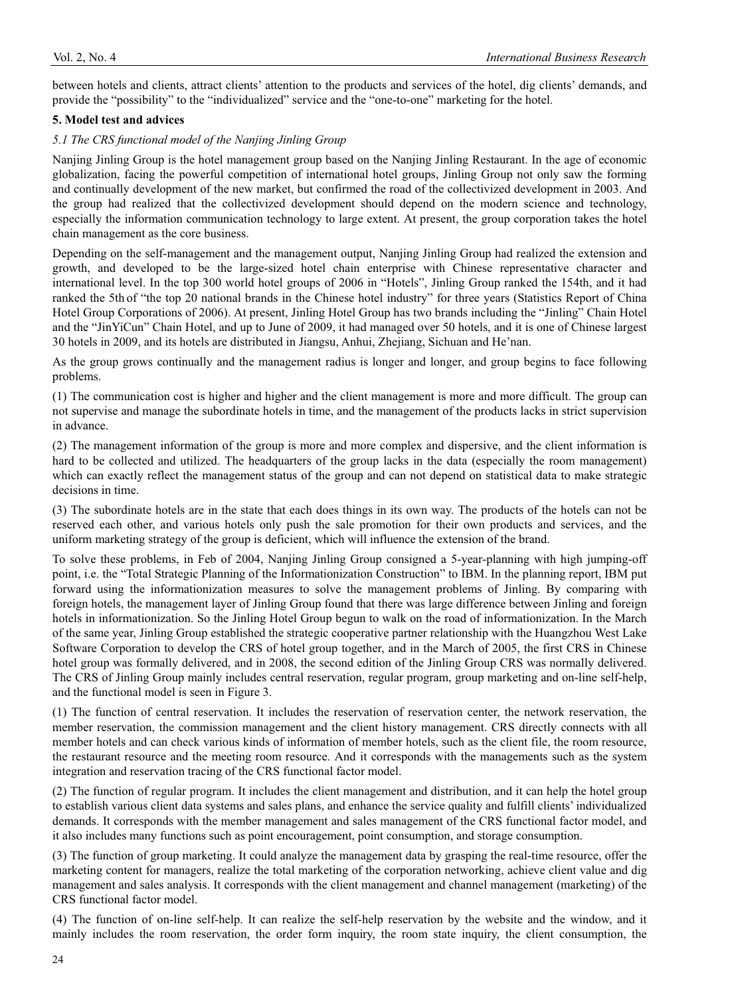between hotels and clients, attract clients' attention to the products and services of the hotel, dig clients' demands, and provide the "possibility" to the "individualized" service and the "one-to-one" marketing for the hotel.

## **5. Model test and advices**

#### *5.1 The CRS functional model of the Nanjing Jinling Group*

Nanjing Jinling Group is the hotel management group based on the Nanjing Jinling Restaurant. In the age of economic globalization, facing the powerful competition of international hotel groups, Jinling Group not only saw the forming and continually development of the new market, but confirmed the road of the collectivized development in 2003. And the group had realized that the collectivized development should depend on the modern science and technology, especially the information communication technology to large extent. At present, the group corporation takes the hotel chain management as the core business.

Depending on the self-management and the management output, Nanjing Jinling Group had realized the extension and growth, and developed to be the large-sized hotel chain enterprise with Chinese representative character and international level. In the top 300 world hotel groups of 2006 in "Hotels", Jinling Group ranked the 154th, and it had ranked the 5th of "the top 20 national brands in the Chinese hotel industry" for three years (Statistics Report of China Hotel Group Corporations of 2006). At present, Jinling Hotel Group has two brands including the "Jinling" Chain Hotel and the "JinYiCun" Chain Hotel, and up to June of 2009, it had managed over 50 hotels, and it is one of Chinese largest 30 hotels in 2009, and its hotels are distributed in Jiangsu, Anhui, Zhejiang, Sichuan and He'nan.

As the group grows continually and the management radius is longer and longer, and group begins to face following problems.

(1) The communication cost is higher and higher and the client management is more and more difficult. The group can not supervise and manage the subordinate hotels in time, and the management of the products lacks in strict supervision in advance.

(2) The management information of the group is more and more complex and dispersive, and the client information is hard to be collected and utilized. The headquarters of the group lacks in the data (especially the room management) which can exactly reflect the management status of the group and can not depend on statistical data to make strategic decisions in time.

(3) The subordinate hotels are in the state that each does things in its own way. The products of the hotels can not be reserved each other, and various hotels only push the sale promotion for their own products and services, and the uniform marketing strategy of the group is deficient, which will influence the extension of the brand.

To solve these problems, in Feb of 2004, Nanjing Jinling Group consigned a 5-year-planning with high jumping-off point, i.e. the "Total Strategic Planning of the Informationization Construction" to IBM. In the planning report, IBM put forward using the informationization measures to solve the management problems of Jinling. By comparing with foreign hotels, the management layer of Jinling Group found that there was large difference between Jinling and foreign hotels in informationization. So the Jinling Hotel Group begun to walk on the road of informationization. In the March of the same year, Jinling Group established the strategic cooperative partner relationship with the Huangzhou West Lake Software Corporation to develop the CRS of hotel group together, and in the March of 2005, the first CRS in Chinese hotel group was formally delivered, and in 2008, the second edition of the Jinling Group CRS was normally delivered. The CRS of Jinling Group mainly includes central reservation, regular program, group marketing and on-line self-help, and the functional model is seen in Figure 3.

(1) The function of central reservation. It includes the reservation of reservation center, the network reservation, the member reservation, the commission management and the client history management. CRS directly connects with all member hotels and can check various kinds of information of member hotels, such as the client file, the room resource, the restaurant resource and the meeting room resource. And it corresponds with the managements such as the system integration and reservation tracing of the CRS functional factor model.

(2) The function of regular program. It includes the client management and distribution, and it can help the hotel group to establish various client data systems and sales plans, and enhance the service quality and fulfill clients' individualized demands. It corresponds with the member management and sales management of the CRS functional factor model, and it also includes many functions such as point encouragement, point consumption, and storage consumption.

(3) The function of group marketing. It could analyze the management data by grasping the real-time resource, offer the marketing content for managers, realize the total marketing of the corporation networking, achieve client value and dig management and sales analysis. It corresponds with the client management and channel management (marketing) of the CRS functional factor model.

(4) The function of on-line self-help. It can realize the self-help reservation by the website and the window, and it mainly includes the room reservation, the order form inquiry, the room state inquiry, the client consumption, the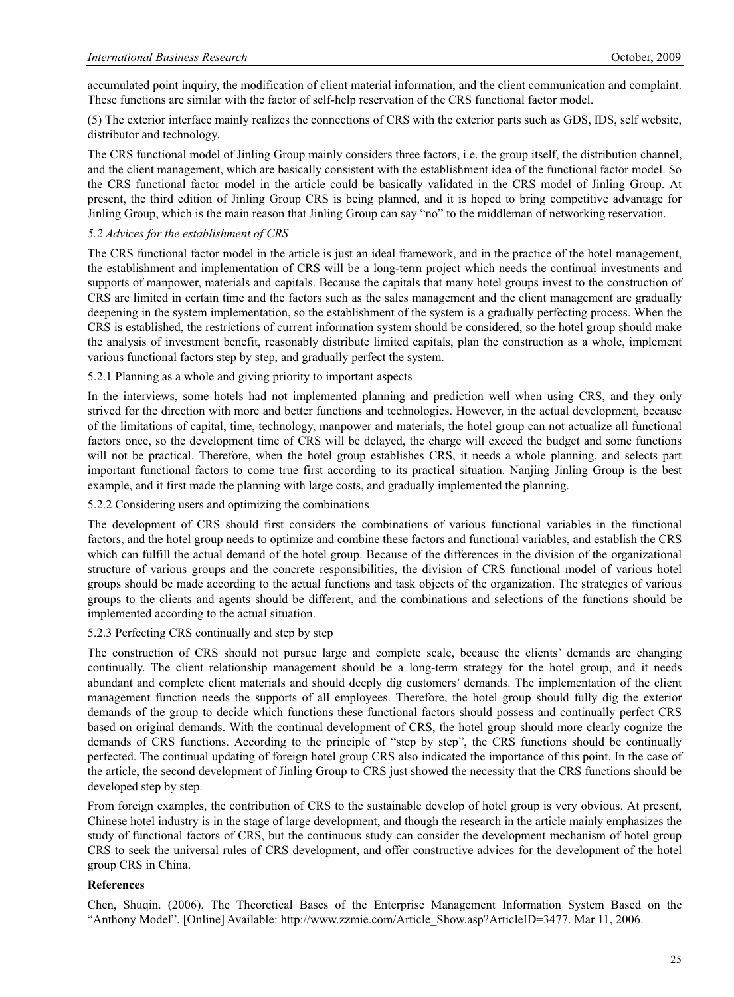accumulated point inquiry, the modification of client material information, and the client communication and complaint. These functions are similar with the factor of self-help reservation of the CRS functional factor model.

(5) The exterior interface mainly realizes the connections of CRS with the exterior parts such as GDS, IDS, self website, distributor and technology.

The CRS functional model of Jinling Group mainly considers three factors, i.e. the group itself, the distribution channel, and the client management, which are basically consistent with the establishment idea of the functional factor model. So the CRS functional factor model in the article could be basically validated in the CRS model of Jinling Group. At present, the third edition of Jinling Group CRS is being planned, and it is hoped to bring competitive advantage for Jinling Group, which is the main reason that Jinling Group can say "no" to the middleman of networking reservation.

#### *5.2 Advices for the establishment of CRS*

The CRS functional factor model in the article is just an ideal framework, and in the practice of the hotel management, the establishment and implementation of CRS will be a long-term project which needs the continual investments and supports of manpower, materials and capitals. Because the capitals that many hotel groups invest to the construction of CRS are limited in certain time and the factors such as the sales management and the client management are gradually deepening in the system implementation, so the establishment of the system is a gradually perfecting process. When the CRS is established, the restrictions of current information system should be considered, so the hotel group should make the analysis of investment benefit, reasonably distribute limited capitals, plan the construction as a whole, implement various functional factors step by step, and gradually perfect the system.

## 5.2.1 Planning as a whole and giving priority to important aspects

In the interviews, some hotels had not implemented planning and prediction well when using CRS, and they only strived for the direction with more and better functions and technologies. However, in the actual development, because of the limitations of capital, time, technology, manpower and materials, the hotel group can not actualize all functional factors once, so the development time of CRS will be delayed, the charge will exceed the budget and some functions will not be practical. Therefore, when the hotel group establishes CRS, it needs a whole planning, and selects part important functional factors to come true first according to its practical situation. Nanjing Jinling Group is the best example, and it first made the planning with large costs, and gradually implemented the planning.

#### 5.2.2 Considering users and optimizing the combinations

The development of CRS should first considers the combinations of various functional variables in the functional factors, and the hotel group needs to optimize and combine these factors and functional variables, and establish the CRS which can fulfill the actual demand of the hotel group. Because of the differences in the division of the organizational structure of various groups and the concrete responsibilities, the division of CRS functional model of various hotel groups should be made according to the actual functions and task objects of the organization. The strategies of various groups to the clients and agents should be different, and the combinations and selections of the functions should be implemented according to the actual situation.

#### 5.2.3 Perfecting CRS continually and step by step

The construction of CRS should not pursue large and complete scale, because the clients' demands are changing continually. The client relationship management should be a long-term strategy for the hotel group, and it needs abundant and complete client materials and should deeply dig customers' demands. The implementation of the client management function needs the supports of all employees. Therefore, the hotel group should fully dig the exterior demands of the group to decide which functions these functional factors should possess and continually perfect CRS based on original demands. With the continual development of CRS, the hotel group should more clearly cognize the demands of CRS functions. According to the principle of "step by step", the CRS functions should be continually perfected. The continual updating of foreign hotel group CRS also indicated the importance of this point. In the case of the article, the second development of Jinling Group to CRS just showed the necessity that the CRS functions should be developed step by step.

From foreign examples, the contribution of CRS to the sustainable develop of hotel group is very obvious. At present, Chinese hotel industry is in the stage of large development, and though the research in the article mainly emphasizes the study of functional factors of CRS, but the continuous study can consider the development mechanism of hotel group CRS to seek the universal rules of CRS development, and offer constructive advices for the development of the hotel group CRS in China.

#### **References**

Chen, Shuqin. (2006). The Theoretical Bases of the Enterprise Management Information System Based on the "Anthony Model". [Online] Available: http://www.zzmie.com/Article\_Show.asp?ArticleID=3477. Mar 11, 2006.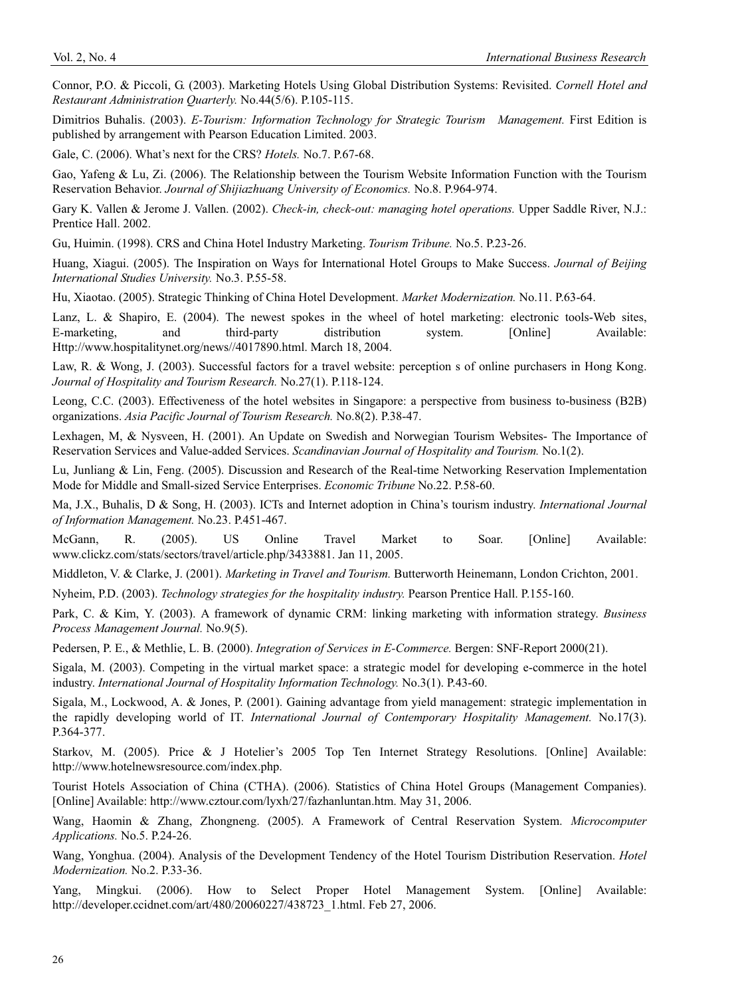Connor, P.O. & Piccoli, G. (2003). Marketing Hotels Using Global Distribution Systems: Revisited. *Cornell Hotel and Restaurant Administration Quarterly.* No.44(5/6). P.105-115.

Dimitrios Buhalis. (2003). *E-Tourism: Information Technology for Strategic Tourism Management.* First Edition is published by arrangement with Pearson Education Limited. 2003.

Gale, C. (2006). What's next for the CRS? *Hotels.* No.7. P.67-68.

Gao, Yafeng & Lu, Zi. (2006). The Relationship between the Tourism Website Information Function with the Tourism Reservation Behavior. *Journal of Shijiazhuang University of Economics.* No.8. P.964-974.

Gary K. Vallen & Jerome J. Vallen. (2002). *Check-in, check-out: managing hotel operations.* Upper Saddle River, N.J.: Prentice Hall. 2002.

Gu, Huimin. (1998). CRS and China Hotel Industry Marketing. *Tourism Tribune.* No.5. P.23-26.

Huang, Xiagui. (2005). The Inspiration on Ways for International Hotel Groups to Make Success. *Journal of Beijing International Studies University.* No.3. P.55-58.

Hu, Xiaotao. (2005). Strategic Thinking of China Hotel Development. *Market Modernization.* No.11. P.63-64.

Lanz, L. & Shapiro, E. (2004). The newest spokes in the wheel of hotel marketing: electronic tools-Web sites, E-marketing, and third-party distribution system. [Online] Available: Http://www.hospitalitynet.org/news//4017890.html. March 18, 2004.

Law, R. & Wong, J. (2003). Successful factors for a travel website: perception s of online purchasers in Hong Kong. *Journal of Hospitality and Tourism Research.* No.27(1). P.118-124.

Leong, C.C. (2003). Effectiveness of the hotel websites in Singapore: a perspective from business to-business (B2B) organizations. *Asia Pacific Journal of Tourism Research.* No.8(2). P.38-47.

Lexhagen, M, & Nysveen, H. (2001). An Update on Swedish and Norwegian Tourism Websites- The Importance of Reservation Services and Value-added Services. *Scandinavian Journal of Hospitality and Tourism.* No.1(2).

Lu, Junliang & Lin, Feng. (2005). Discussion and Research of the Real-time Networking Reservation Implementation Mode for Middle and Small-sized Service Enterprises. *Economic Tribune* No.22. P.58-60.

Ma, J.X., Buhalis, D & Song, H. (2003). ICTs and Internet adoption in China's tourism industry. *International Journal of Information Management.* No.23. P.451-467.

McGann, R. (2005). US Online Travel Market to Soar. [Online] Available: www.clickz.com/stats/sectors/travel/article.php/3433881. Jan 11, 2005.

Middleton, V. & Clarke, J. (2001). *Marketing in Travel and Tourism.* Butterworth Heinemann, London Crichton, 2001.

Nyheim, P.D. (2003). *Technology strategies for the hospitality industry.* Pearson Prentice Hall. P.155-160.

Park, C. & Kim, Y. (2003). A framework of dynamic CRM: linking marketing with information strategy. *Business Process Management Journal.* No.9(5).

Pedersen, P. E., & Methlie, L. B. (2000). *Integration of Services in E-Commerce.* Bergen: SNF-Report 2000(21).

Sigala, M. (2003). Competing in the virtual market space: a strategic model for developing e-commerce in the hotel industry. *International Journal of Hospitality Information Technology.* No.3(1). P.43-60.

Sigala, M., Lockwood, A. & Jones, P. (2001). Gaining advantage from yield management: strategic implementation in the rapidly developing world of IT. *International Journal of Contemporary Hospitality Management.* No.17(3). P.364-377.

Starkov, M. (2005). Price & J Hotelier's 2005 Top Ten Internet Strategy Resolutions. [Online] Available: http://www.hotelnewsresource.com/index.php.

Tourist Hotels Association of China (CTHA). (2006). Statistics of China Hotel Groups (Management Companies). [Online] Available: http://www.cztour.com/lyxh/27/fazhanluntan.htm. May 31, 2006.

Wang, Haomin & Zhang, Zhongneng. (2005). A Framework of Central Reservation System. *Microcomputer Applications.* No.5. P.24-26.

Wang, Yonghua. (2004). Analysis of the Development Tendency of the Hotel Tourism Distribution Reservation. *Hotel Modernization.* No.2. P.33-36.

Yang, Mingkui. (2006). How to Select Proper Hotel Management System. [Online] Available: http://developer.ccidnet.com/art/480/20060227/438723\_1.html. Feb 27, 2006.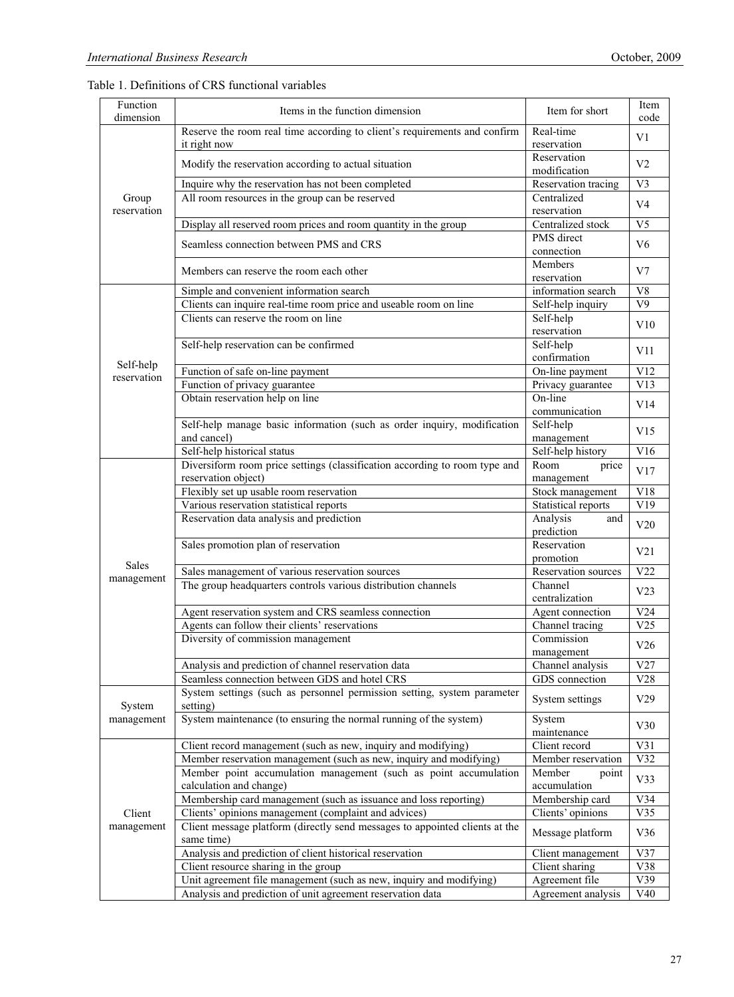| Reserve the room real time according to client's requirements and confirm<br>Real-time<br>V <sub>1</sub><br>it right now<br>reservation<br>Reservation<br>V <sub>2</sub><br>Modify the reservation according to actual situation<br>modification<br>Reservation tracing<br>V <sub>3</sub><br>Inquire why the reservation has not been completed<br>All room resources in the group can be reserved<br>Centralized<br>Group<br>V <sub>4</sub><br>reservation<br>reservation<br>Centralized stock<br>Display all reserved room prices and room quantity in the group<br>V <sub>5</sub><br>PMS direct<br>Seamless connection between PMS and CRS<br>V6<br>connection<br>Members<br>V7<br>Members can reserve the room each other<br>reservation<br>Simple and convenient information search<br>information search<br>V8<br>Clients can inquire real-time room price and useable room on line<br>V <sub>9</sub><br>Self-help inquiry<br>Clients can reserve the room on line<br>Self-help<br>V10<br>reservation<br>Self-help<br>Self-help reservation can be confirmed<br>V11<br>confirmation<br>Self-help<br>Function of safe on-line payment<br>On-line payment<br>V12<br>reservation<br>V13<br>Function of privacy guarantee<br>Privacy guarantee<br>On-line<br>Obtain reservation help on line<br>V14<br>communication<br>Self-help manage basic information (such as order inquiry, modification<br>Self-help<br>V15<br>and cancel)<br>management<br>V16<br>Self-help historical status<br>Self-help history<br>Diversiform room price settings (classification according to room type and<br>Room<br>price<br>V17<br>reservation object)<br>management<br>Flexibly set up usable room reservation<br>Stock management<br>V18<br>Various reservation statistical reports<br>V19<br>Statistical reports<br>Reservation data analysis and prediction<br>Analysis<br>and<br>V20<br>prediction<br>Sales promotion plan of reservation<br>Reservation<br>V21<br>promotion<br>Sales<br>Sales management of various reservation sources<br>Reservation sources<br>V22<br>management<br>The group headquarters controls various distribution channels<br>Channel<br>V23<br>centralization<br>Agent reservation system and CRS seamless connection<br>Agent connection<br>V24<br>V25<br>Agents can follow their clients' reservations<br>Channel tracing<br>Diversity of commission management<br>Commission<br>V26<br>management<br>V27<br>Analysis and prediction of channel reservation data<br>Channel analysis<br>Seamless connection between GDS and hotel CRS<br>GDS connection<br>V28<br>System settings (such as personnel permission setting, system parameter<br>V29<br>System settings<br>setting)<br>System<br>System maintenance (to ensuring the normal running of the system)<br>management<br>System<br>V30<br>maintenance<br>Client record<br>V31<br>Client record management (such as new, inquiry and modifying)<br>V32<br>Member reservation management (such as new, inquiry and modifying)<br>Member reservation<br>Member point accumulation management (such as point accumulation<br>Member<br>point<br>V33<br>calculation and change)<br>accumulation<br>Membership card management (such as issuance and loss reporting)<br>V34<br>Membership card<br>Clients' opinions management (complaint and advices)<br>V35<br>Clients' opinions<br>Client<br>Client message platform (directly send messages to appointed clients at the<br>management<br>V36<br>Message platform<br>same time)<br>Analysis and prediction of client historical reservation<br>V37<br>Client management<br>V38<br>Client resource sharing in the group<br>Client sharing<br>V39<br>Unit agreement file management (such as new, inquiry and modifying)<br>Agreement file<br>V40<br>Analysis and prediction of unit agreement reservation data<br>Agreement analysis | Function<br>dimension | Items in the function dimension | Item for short | Item<br>code |  |
|----------------------------------------------------------------------------------------------------------------------------------------------------------------------------------------------------------------------------------------------------------------------------------------------------------------------------------------------------------------------------------------------------------------------------------------------------------------------------------------------------------------------------------------------------------------------------------------------------------------------------------------------------------------------------------------------------------------------------------------------------------------------------------------------------------------------------------------------------------------------------------------------------------------------------------------------------------------------------------------------------------------------------------------------------------------------------------------------------------------------------------------------------------------------------------------------------------------------------------------------------------------------------------------------------------------------------------------------------------------------------------------------------------------------------------------------------------------------------------------------------------------------------------------------------------------------------------------------------------------------------------------------------------------------------------------------------------------------------------------------------------------------------------------------------------------------------------------------------------------------------------------------------------------------------------------------------------------------------------------------------------------------------------------------------------------------------------------------------------------------------------------------------------------------------------------------------------------------------------------------------------------------------------------------------------------------------------------------------------------------------------------------------------------------------------------------------------------------------------------------------------------------------------------------------------------------------------------------------------------------------------------------------------------------------------------------------------------------------------------------------------------------------------------------------------------------------------------------------------------------------------------------------------------------------------------------------------------------------------------------------------------------------------------------------------------------------------------------------------------------------------------------------------------------------------------------------------------------------------------------------------------------------------------------------------------------------------------------------------------------------------------------------------------------------------------------------------------------------------------------------------------------------------------------------------------------------------------------------------------------------------------------------------------------------------------------------------------------------------------------------------------------------------------------------------------------------------------------------------------|-----------------------|---------------------------------|----------------|--------------|--|
|                                                                                                                                                                                                                                                                                                                                                                                                                                                                                                                                                                                                                                                                                                                                                                                                                                                                                                                                                                                                                                                                                                                                                                                                                                                                                                                                                                                                                                                                                                                                                                                                                                                                                                                                                                                                                                                                                                                                                                                                                                                                                                                                                                                                                                                                                                                                                                                                                                                                                                                                                                                                                                                                                                                                                                                                                                                                                                                                                                                                                                                                                                                                                                                                                                                                                                                                                                                                                                                                                                                                                                                                                                                                                                                                                                                                                                                                |                       |                                 |                |              |  |
|                                                                                                                                                                                                                                                                                                                                                                                                                                                                                                                                                                                                                                                                                                                                                                                                                                                                                                                                                                                                                                                                                                                                                                                                                                                                                                                                                                                                                                                                                                                                                                                                                                                                                                                                                                                                                                                                                                                                                                                                                                                                                                                                                                                                                                                                                                                                                                                                                                                                                                                                                                                                                                                                                                                                                                                                                                                                                                                                                                                                                                                                                                                                                                                                                                                                                                                                                                                                                                                                                                                                                                                                                                                                                                                                                                                                                                                                |                       |                                 |                |              |  |
|                                                                                                                                                                                                                                                                                                                                                                                                                                                                                                                                                                                                                                                                                                                                                                                                                                                                                                                                                                                                                                                                                                                                                                                                                                                                                                                                                                                                                                                                                                                                                                                                                                                                                                                                                                                                                                                                                                                                                                                                                                                                                                                                                                                                                                                                                                                                                                                                                                                                                                                                                                                                                                                                                                                                                                                                                                                                                                                                                                                                                                                                                                                                                                                                                                                                                                                                                                                                                                                                                                                                                                                                                                                                                                                                                                                                                                                                |                       |                                 |                |              |  |
|                                                                                                                                                                                                                                                                                                                                                                                                                                                                                                                                                                                                                                                                                                                                                                                                                                                                                                                                                                                                                                                                                                                                                                                                                                                                                                                                                                                                                                                                                                                                                                                                                                                                                                                                                                                                                                                                                                                                                                                                                                                                                                                                                                                                                                                                                                                                                                                                                                                                                                                                                                                                                                                                                                                                                                                                                                                                                                                                                                                                                                                                                                                                                                                                                                                                                                                                                                                                                                                                                                                                                                                                                                                                                                                                                                                                                                                                |                       |                                 |                |              |  |
|                                                                                                                                                                                                                                                                                                                                                                                                                                                                                                                                                                                                                                                                                                                                                                                                                                                                                                                                                                                                                                                                                                                                                                                                                                                                                                                                                                                                                                                                                                                                                                                                                                                                                                                                                                                                                                                                                                                                                                                                                                                                                                                                                                                                                                                                                                                                                                                                                                                                                                                                                                                                                                                                                                                                                                                                                                                                                                                                                                                                                                                                                                                                                                                                                                                                                                                                                                                                                                                                                                                                                                                                                                                                                                                                                                                                                                                                |                       |                                 |                |              |  |
|                                                                                                                                                                                                                                                                                                                                                                                                                                                                                                                                                                                                                                                                                                                                                                                                                                                                                                                                                                                                                                                                                                                                                                                                                                                                                                                                                                                                                                                                                                                                                                                                                                                                                                                                                                                                                                                                                                                                                                                                                                                                                                                                                                                                                                                                                                                                                                                                                                                                                                                                                                                                                                                                                                                                                                                                                                                                                                                                                                                                                                                                                                                                                                                                                                                                                                                                                                                                                                                                                                                                                                                                                                                                                                                                                                                                                                                                |                       |                                 |                |              |  |
|                                                                                                                                                                                                                                                                                                                                                                                                                                                                                                                                                                                                                                                                                                                                                                                                                                                                                                                                                                                                                                                                                                                                                                                                                                                                                                                                                                                                                                                                                                                                                                                                                                                                                                                                                                                                                                                                                                                                                                                                                                                                                                                                                                                                                                                                                                                                                                                                                                                                                                                                                                                                                                                                                                                                                                                                                                                                                                                                                                                                                                                                                                                                                                                                                                                                                                                                                                                                                                                                                                                                                                                                                                                                                                                                                                                                                                                                |                       |                                 |                |              |  |
|                                                                                                                                                                                                                                                                                                                                                                                                                                                                                                                                                                                                                                                                                                                                                                                                                                                                                                                                                                                                                                                                                                                                                                                                                                                                                                                                                                                                                                                                                                                                                                                                                                                                                                                                                                                                                                                                                                                                                                                                                                                                                                                                                                                                                                                                                                                                                                                                                                                                                                                                                                                                                                                                                                                                                                                                                                                                                                                                                                                                                                                                                                                                                                                                                                                                                                                                                                                                                                                                                                                                                                                                                                                                                                                                                                                                                                                                |                       |                                 |                |              |  |
|                                                                                                                                                                                                                                                                                                                                                                                                                                                                                                                                                                                                                                                                                                                                                                                                                                                                                                                                                                                                                                                                                                                                                                                                                                                                                                                                                                                                                                                                                                                                                                                                                                                                                                                                                                                                                                                                                                                                                                                                                                                                                                                                                                                                                                                                                                                                                                                                                                                                                                                                                                                                                                                                                                                                                                                                                                                                                                                                                                                                                                                                                                                                                                                                                                                                                                                                                                                                                                                                                                                                                                                                                                                                                                                                                                                                                                                                |                       |                                 |                |              |  |
|                                                                                                                                                                                                                                                                                                                                                                                                                                                                                                                                                                                                                                                                                                                                                                                                                                                                                                                                                                                                                                                                                                                                                                                                                                                                                                                                                                                                                                                                                                                                                                                                                                                                                                                                                                                                                                                                                                                                                                                                                                                                                                                                                                                                                                                                                                                                                                                                                                                                                                                                                                                                                                                                                                                                                                                                                                                                                                                                                                                                                                                                                                                                                                                                                                                                                                                                                                                                                                                                                                                                                                                                                                                                                                                                                                                                                                                                |                       |                                 |                |              |  |
|                                                                                                                                                                                                                                                                                                                                                                                                                                                                                                                                                                                                                                                                                                                                                                                                                                                                                                                                                                                                                                                                                                                                                                                                                                                                                                                                                                                                                                                                                                                                                                                                                                                                                                                                                                                                                                                                                                                                                                                                                                                                                                                                                                                                                                                                                                                                                                                                                                                                                                                                                                                                                                                                                                                                                                                                                                                                                                                                                                                                                                                                                                                                                                                                                                                                                                                                                                                                                                                                                                                                                                                                                                                                                                                                                                                                                                                                |                       |                                 |                |              |  |
|                                                                                                                                                                                                                                                                                                                                                                                                                                                                                                                                                                                                                                                                                                                                                                                                                                                                                                                                                                                                                                                                                                                                                                                                                                                                                                                                                                                                                                                                                                                                                                                                                                                                                                                                                                                                                                                                                                                                                                                                                                                                                                                                                                                                                                                                                                                                                                                                                                                                                                                                                                                                                                                                                                                                                                                                                                                                                                                                                                                                                                                                                                                                                                                                                                                                                                                                                                                                                                                                                                                                                                                                                                                                                                                                                                                                                                                                |                       |                                 |                |              |  |
|                                                                                                                                                                                                                                                                                                                                                                                                                                                                                                                                                                                                                                                                                                                                                                                                                                                                                                                                                                                                                                                                                                                                                                                                                                                                                                                                                                                                                                                                                                                                                                                                                                                                                                                                                                                                                                                                                                                                                                                                                                                                                                                                                                                                                                                                                                                                                                                                                                                                                                                                                                                                                                                                                                                                                                                                                                                                                                                                                                                                                                                                                                                                                                                                                                                                                                                                                                                                                                                                                                                                                                                                                                                                                                                                                                                                                                                                |                       |                                 |                |              |  |
|                                                                                                                                                                                                                                                                                                                                                                                                                                                                                                                                                                                                                                                                                                                                                                                                                                                                                                                                                                                                                                                                                                                                                                                                                                                                                                                                                                                                                                                                                                                                                                                                                                                                                                                                                                                                                                                                                                                                                                                                                                                                                                                                                                                                                                                                                                                                                                                                                                                                                                                                                                                                                                                                                                                                                                                                                                                                                                                                                                                                                                                                                                                                                                                                                                                                                                                                                                                                                                                                                                                                                                                                                                                                                                                                                                                                                                                                |                       |                                 |                |              |  |
|                                                                                                                                                                                                                                                                                                                                                                                                                                                                                                                                                                                                                                                                                                                                                                                                                                                                                                                                                                                                                                                                                                                                                                                                                                                                                                                                                                                                                                                                                                                                                                                                                                                                                                                                                                                                                                                                                                                                                                                                                                                                                                                                                                                                                                                                                                                                                                                                                                                                                                                                                                                                                                                                                                                                                                                                                                                                                                                                                                                                                                                                                                                                                                                                                                                                                                                                                                                                                                                                                                                                                                                                                                                                                                                                                                                                                                                                |                       |                                 |                |              |  |
|                                                                                                                                                                                                                                                                                                                                                                                                                                                                                                                                                                                                                                                                                                                                                                                                                                                                                                                                                                                                                                                                                                                                                                                                                                                                                                                                                                                                                                                                                                                                                                                                                                                                                                                                                                                                                                                                                                                                                                                                                                                                                                                                                                                                                                                                                                                                                                                                                                                                                                                                                                                                                                                                                                                                                                                                                                                                                                                                                                                                                                                                                                                                                                                                                                                                                                                                                                                                                                                                                                                                                                                                                                                                                                                                                                                                                                                                |                       |                                 |                |              |  |
|                                                                                                                                                                                                                                                                                                                                                                                                                                                                                                                                                                                                                                                                                                                                                                                                                                                                                                                                                                                                                                                                                                                                                                                                                                                                                                                                                                                                                                                                                                                                                                                                                                                                                                                                                                                                                                                                                                                                                                                                                                                                                                                                                                                                                                                                                                                                                                                                                                                                                                                                                                                                                                                                                                                                                                                                                                                                                                                                                                                                                                                                                                                                                                                                                                                                                                                                                                                                                                                                                                                                                                                                                                                                                                                                                                                                                                                                |                       |                                 |                |              |  |
|                                                                                                                                                                                                                                                                                                                                                                                                                                                                                                                                                                                                                                                                                                                                                                                                                                                                                                                                                                                                                                                                                                                                                                                                                                                                                                                                                                                                                                                                                                                                                                                                                                                                                                                                                                                                                                                                                                                                                                                                                                                                                                                                                                                                                                                                                                                                                                                                                                                                                                                                                                                                                                                                                                                                                                                                                                                                                                                                                                                                                                                                                                                                                                                                                                                                                                                                                                                                                                                                                                                                                                                                                                                                                                                                                                                                                                                                |                       |                                 |                |              |  |
|                                                                                                                                                                                                                                                                                                                                                                                                                                                                                                                                                                                                                                                                                                                                                                                                                                                                                                                                                                                                                                                                                                                                                                                                                                                                                                                                                                                                                                                                                                                                                                                                                                                                                                                                                                                                                                                                                                                                                                                                                                                                                                                                                                                                                                                                                                                                                                                                                                                                                                                                                                                                                                                                                                                                                                                                                                                                                                                                                                                                                                                                                                                                                                                                                                                                                                                                                                                                                                                                                                                                                                                                                                                                                                                                                                                                                                                                |                       |                                 |                |              |  |
|                                                                                                                                                                                                                                                                                                                                                                                                                                                                                                                                                                                                                                                                                                                                                                                                                                                                                                                                                                                                                                                                                                                                                                                                                                                                                                                                                                                                                                                                                                                                                                                                                                                                                                                                                                                                                                                                                                                                                                                                                                                                                                                                                                                                                                                                                                                                                                                                                                                                                                                                                                                                                                                                                                                                                                                                                                                                                                                                                                                                                                                                                                                                                                                                                                                                                                                                                                                                                                                                                                                                                                                                                                                                                                                                                                                                                                                                |                       |                                 |                |              |  |
|                                                                                                                                                                                                                                                                                                                                                                                                                                                                                                                                                                                                                                                                                                                                                                                                                                                                                                                                                                                                                                                                                                                                                                                                                                                                                                                                                                                                                                                                                                                                                                                                                                                                                                                                                                                                                                                                                                                                                                                                                                                                                                                                                                                                                                                                                                                                                                                                                                                                                                                                                                                                                                                                                                                                                                                                                                                                                                                                                                                                                                                                                                                                                                                                                                                                                                                                                                                                                                                                                                                                                                                                                                                                                                                                                                                                                                                                |                       |                                 |                |              |  |
|                                                                                                                                                                                                                                                                                                                                                                                                                                                                                                                                                                                                                                                                                                                                                                                                                                                                                                                                                                                                                                                                                                                                                                                                                                                                                                                                                                                                                                                                                                                                                                                                                                                                                                                                                                                                                                                                                                                                                                                                                                                                                                                                                                                                                                                                                                                                                                                                                                                                                                                                                                                                                                                                                                                                                                                                                                                                                                                                                                                                                                                                                                                                                                                                                                                                                                                                                                                                                                                                                                                                                                                                                                                                                                                                                                                                                                                                |                       |                                 |                |              |  |
|                                                                                                                                                                                                                                                                                                                                                                                                                                                                                                                                                                                                                                                                                                                                                                                                                                                                                                                                                                                                                                                                                                                                                                                                                                                                                                                                                                                                                                                                                                                                                                                                                                                                                                                                                                                                                                                                                                                                                                                                                                                                                                                                                                                                                                                                                                                                                                                                                                                                                                                                                                                                                                                                                                                                                                                                                                                                                                                                                                                                                                                                                                                                                                                                                                                                                                                                                                                                                                                                                                                                                                                                                                                                                                                                                                                                                                                                |                       |                                 |                |              |  |
|                                                                                                                                                                                                                                                                                                                                                                                                                                                                                                                                                                                                                                                                                                                                                                                                                                                                                                                                                                                                                                                                                                                                                                                                                                                                                                                                                                                                                                                                                                                                                                                                                                                                                                                                                                                                                                                                                                                                                                                                                                                                                                                                                                                                                                                                                                                                                                                                                                                                                                                                                                                                                                                                                                                                                                                                                                                                                                                                                                                                                                                                                                                                                                                                                                                                                                                                                                                                                                                                                                                                                                                                                                                                                                                                                                                                                                                                |                       |                                 |                |              |  |
|                                                                                                                                                                                                                                                                                                                                                                                                                                                                                                                                                                                                                                                                                                                                                                                                                                                                                                                                                                                                                                                                                                                                                                                                                                                                                                                                                                                                                                                                                                                                                                                                                                                                                                                                                                                                                                                                                                                                                                                                                                                                                                                                                                                                                                                                                                                                                                                                                                                                                                                                                                                                                                                                                                                                                                                                                                                                                                                                                                                                                                                                                                                                                                                                                                                                                                                                                                                                                                                                                                                                                                                                                                                                                                                                                                                                                                                                |                       |                                 |                |              |  |
|                                                                                                                                                                                                                                                                                                                                                                                                                                                                                                                                                                                                                                                                                                                                                                                                                                                                                                                                                                                                                                                                                                                                                                                                                                                                                                                                                                                                                                                                                                                                                                                                                                                                                                                                                                                                                                                                                                                                                                                                                                                                                                                                                                                                                                                                                                                                                                                                                                                                                                                                                                                                                                                                                                                                                                                                                                                                                                                                                                                                                                                                                                                                                                                                                                                                                                                                                                                                                                                                                                                                                                                                                                                                                                                                                                                                                                                                |                       |                                 |                |              |  |
|                                                                                                                                                                                                                                                                                                                                                                                                                                                                                                                                                                                                                                                                                                                                                                                                                                                                                                                                                                                                                                                                                                                                                                                                                                                                                                                                                                                                                                                                                                                                                                                                                                                                                                                                                                                                                                                                                                                                                                                                                                                                                                                                                                                                                                                                                                                                                                                                                                                                                                                                                                                                                                                                                                                                                                                                                                                                                                                                                                                                                                                                                                                                                                                                                                                                                                                                                                                                                                                                                                                                                                                                                                                                                                                                                                                                                                                                |                       |                                 |                |              |  |
|                                                                                                                                                                                                                                                                                                                                                                                                                                                                                                                                                                                                                                                                                                                                                                                                                                                                                                                                                                                                                                                                                                                                                                                                                                                                                                                                                                                                                                                                                                                                                                                                                                                                                                                                                                                                                                                                                                                                                                                                                                                                                                                                                                                                                                                                                                                                                                                                                                                                                                                                                                                                                                                                                                                                                                                                                                                                                                                                                                                                                                                                                                                                                                                                                                                                                                                                                                                                                                                                                                                                                                                                                                                                                                                                                                                                                                                                |                       |                                 |                |              |  |
|                                                                                                                                                                                                                                                                                                                                                                                                                                                                                                                                                                                                                                                                                                                                                                                                                                                                                                                                                                                                                                                                                                                                                                                                                                                                                                                                                                                                                                                                                                                                                                                                                                                                                                                                                                                                                                                                                                                                                                                                                                                                                                                                                                                                                                                                                                                                                                                                                                                                                                                                                                                                                                                                                                                                                                                                                                                                                                                                                                                                                                                                                                                                                                                                                                                                                                                                                                                                                                                                                                                                                                                                                                                                                                                                                                                                                                                                |                       |                                 |                |              |  |
|                                                                                                                                                                                                                                                                                                                                                                                                                                                                                                                                                                                                                                                                                                                                                                                                                                                                                                                                                                                                                                                                                                                                                                                                                                                                                                                                                                                                                                                                                                                                                                                                                                                                                                                                                                                                                                                                                                                                                                                                                                                                                                                                                                                                                                                                                                                                                                                                                                                                                                                                                                                                                                                                                                                                                                                                                                                                                                                                                                                                                                                                                                                                                                                                                                                                                                                                                                                                                                                                                                                                                                                                                                                                                                                                                                                                                                                                |                       |                                 |                |              |  |
|                                                                                                                                                                                                                                                                                                                                                                                                                                                                                                                                                                                                                                                                                                                                                                                                                                                                                                                                                                                                                                                                                                                                                                                                                                                                                                                                                                                                                                                                                                                                                                                                                                                                                                                                                                                                                                                                                                                                                                                                                                                                                                                                                                                                                                                                                                                                                                                                                                                                                                                                                                                                                                                                                                                                                                                                                                                                                                                                                                                                                                                                                                                                                                                                                                                                                                                                                                                                                                                                                                                                                                                                                                                                                                                                                                                                                                                                |                       |                                 |                |              |  |
|                                                                                                                                                                                                                                                                                                                                                                                                                                                                                                                                                                                                                                                                                                                                                                                                                                                                                                                                                                                                                                                                                                                                                                                                                                                                                                                                                                                                                                                                                                                                                                                                                                                                                                                                                                                                                                                                                                                                                                                                                                                                                                                                                                                                                                                                                                                                                                                                                                                                                                                                                                                                                                                                                                                                                                                                                                                                                                                                                                                                                                                                                                                                                                                                                                                                                                                                                                                                                                                                                                                                                                                                                                                                                                                                                                                                                                                                |                       |                                 |                |              |  |
|                                                                                                                                                                                                                                                                                                                                                                                                                                                                                                                                                                                                                                                                                                                                                                                                                                                                                                                                                                                                                                                                                                                                                                                                                                                                                                                                                                                                                                                                                                                                                                                                                                                                                                                                                                                                                                                                                                                                                                                                                                                                                                                                                                                                                                                                                                                                                                                                                                                                                                                                                                                                                                                                                                                                                                                                                                                                                                                                                                                                                                                                                                                                                                                                                                                                                                                                                                                                                                                                                                                                                                                                                                                                                                                                                                                                                                                                |                       |                                 |                |              |  |
|                                                                                                                                                                                                                                                                                                                                                                                                                                                                                                                                                                                                                                                                                                                                                                                                                                                                                                                                                                                                                                                                                                                                                                                                                                                                                                                                                                                                                                                                                                                                                                                                                                                                                                                                                                                                                                                                                                                                                                                                                                                                                                                                                                                                                                                                                                                                                                                                                                                                                                                                                                                                                                                                                                                                                                                                                                                                                                                                                                                                                                                                                                                                                                                                                                                                                                                                                                                                                                                                                                                                                                                                                                                                                                                                                                                                                                                                |                       |                                 |                |              |  |
|                                                                                                                                                                                                                                                                                                                                                                                                                                                                                                                                                                                                                                                                                                                                                                                                                                                                                                                                                                                                                                                                                                                                                                                                                                                                                                                                                                                                                                                                                                                                                                                                                                                                                                                                                                                                                                                                                                                                                                                                                                                                                                                                                                                                                                                                                                                                                                                                                                                                                                                                                                                                                                                                                                                                                                                                                                                                                                                                                                                                                                                                                                                                                                                                                                                                                                                                                                                                                                                                                                                                                                                                                                                                                                                                                                                                                                                                |                       |                                 |                |              |  |
|                                                                                                                                                                                                                                                                                                                                                                                                                                                                                                                                                                                                                                                                                                                                                                                                                                                                                                                                                                                                                                                                                                                                                                                                                                                                                                                                                                                                                                                                                                                                                                                                                                                                                                                                                                                                                                                                                                                                                                                                                                                                                                                                                                                                                                                                                                                                                                                                                                                                                                                                                                                                                                                                                                                                                                                                                                                                                                                                                                                                                                                                                                                                                                                                                                                                                                                                                                                                                                                                                                                                                                                                                                                                                                                                                                                                                                                                |                       |                                 |                |              |  |
|                                                                                                                                                                                                                                                                                                                                                                                                                                                                                                                                                                                                                                                                                                                                                                                                                                                                                                                                                                                                                                                                                                                                                                                                                                                                                                                                                                                                                                                                                                                                                                                                                                                                                                                                                                                                                                                                                                                                                                                                                                                                                                                                                                                                                                                                                                                                                                                                                                                                                                                                                                                                                                                                                                                                                                                                                                                                                                                                                                                                                                                                                                                                                                                                                                                                                                                                                                                                                                                                                                                                                                                                                                                                                                                                                                                                                                                                |                       |                                 |                |              |  |
|                                                                                                                                                                                                                                                                                                                                                                                                                                                                                                                                                                                                                                                                                                                                                                                                                                                                                                                                                                                                                                                                                                                                                                                                                                                                                                                                                                                                                                                                                                                                                                                                                                                                                                                                                                                                                                                                                                                                                                                                                                                                                                                                                                                                                                                                                                                                                                                                                                                                                                                                                                                                                                                                                                                                                                                                                                                                                                                                                                                                                                                                                                                                                                                                                                                                                                                                                                                                                                                                                                                                                                                                                                                                                                                                                                                                                                                                |                       |                                 |                |              |  |
|                                                                                                                                                                                                                                                                                                                                                                                                                                                                                                                                                                                                                                                                                                                                                                                                                                                                                                                                                                                                                                                                                                                                                                                                                                                                                                                                                                                                                                                                                                                                                                                                                                                                                                                                                                                                                                                                                                                                                                                                                                                                                                                                                                                                                                                                                                                                                                                                                                                                                                                                                                                                                                                                                                                                                                                                                                                                                                                                                                                                                                                                                                                                                                                                                                                                                                                                                                                                                                                                                                                                                                                                                                                                                                                                                                                                                                                                |                       |                                 |                |              |  |
|                                                                                                                                                                                                                                                                                                                                                                                                                                                                                                                                                                                                                                                                                                                                                                                                                                                                                                                                                                                                                                                                                                                                                                                                                                                                                                                                                                                                                                                                                                                                                                                                                                                                                                                                                                                                                                                                                                                                                                                                                                                                                                                                                                                                                                                                                                                                                                                                                                                                                                                                                                                                                                                                                                                                                                                                                                                                                                                                                                                                                                                                                                                                                                                                                                                                                                                                                                                                                                                                                                                                                                                                                                                                                                                                                                                                                                                                |                       |                                 |                |              |  |
|                                                                                                                                                                                                                                                                                                                                                                                                                                                                                                                                                                                                                                                                                                                                                                                                                                                                                                                                                                                                                                                                                                                                                                                                                                                                                                                                                                                                                                                                                                                                                                                                                                                                                                                                                                                                                                                                                                                                                                                                                                                                                                                                                                                                                                                                                                                                                                                                                                                                                                                                                                                                                                                                                                                                                                                                                                                                                                                                                                                                                                                                                                                                                                                                                                                                                                                                                                                                                                                                                                                                                                                                                                                                                                                                                                                                                                                                |                       |                                 |                |              |  |
|                                                                                                                                                                                                                                                                                                                                                                                                                                                                                                                                                                                                                                                                                                                                                                                                                                                                                                                                                                                                                                                                                                                                                                                                                                                                                                                                                                                                                                                                                                                                                                                                                                                                                                                                                                                                                                                                                                                                                                                                                                                                                                                                                                                                                                                                                                                                                                                                                                                                                                                                                                                                                                                                                                                                                                                                                                                                                                                                                                                                                                                                                                                                                                                                                                                                                                                                                                                                                                                                                                                                                                                                                                                                                                                                                                                                                                                                |                       |                                 |                |              |  |
|                                                                                                                                                                                                                                                                                                                                                                                                                                                                                                                                                                                                                                                                                                                                                                                                                                                                                                                                                                                                                                                                                                                                                                                                                                                                                                                                                                                                                                                                                                                                                                                                                                                                                                                                                                                                                                                                                                                                                                                                                                                                                                                                                                                                                                                                                                                                                                                                                                                                                                                                                                                                                                                                                                                                                                                                                                                                                                                                                                                                                                                                                                                                                                                                                                                                                                                                                                                                                                                                                                                                                                                                                                                                                                                                                                                                                                                                |                       |                                 |                |              |  |
|                                                                                                                                                                                                                                                                                                                                                                                                                                                                                                                                                                                                                                                                                                                                                                                                                                                                                                                                                                                                                                                                                                                                                                                                                                                                                                                                                                                                                                                                                                                                                                                                                                                                                                                                                                                                                                                                                                                                                                                                                                                                                                                                                                                                                                                                                                                                                                                                                                                                                                                                                                                                                                                                                                                                                                                                                                                                                                                                                                                                                                                                                                                                                                                                                                                                                                                                                                                                                                                                                                                                                                                                                                                                                                                                                                                                                                                                |                       |                                 |                |              |  |
|                                                                                                                                                                                                                                                                                                                                                                                                                                                                                                                                                                                                                                                                                                                                                                                                                                                                                                                                                                                                                                                                                                                                                                                                                                                                                                                                                                                                                                                                                                                                                                                                                                                                                                                                                                                                                                                                                                                                                                                                                                                                                                                                                                                                                                                                                                                                                                                                                                                                                                                                                                                                                                                                                                                                                                                                                                                                                                                                                                                                                                                                                                                                                                                                                                                                                                                                                                                                                                                                                                                                                                                                                                                                                                                                                                                                                                                                |                       |                                 |                |              |  |
|                                                                                                                                                                                                                                                                                                                                                                                                                                                                                                                                                                                                                                                                                                                                                                                                                                                                                                                                                                                                                                                                                                                                                                                                                                                                                                                                                                                                                                                                                                                                                                                                                                                                                                                                                                                                                                                                                                                                                                                                                                                                                                                                                                                                                                                                                                                                                                                                                                                                                                                                                                                                                                                                                                                                                                                                                                                                                                                                                                                                                                                                                                                                                                                                                                                                                                                                                                                                                                                                                                                                                                                                                                                                                                                                                                                                                                                                |                       |                                 |                |              |  |
|                                                                                                                                                                                                                                                                                                                                                                                                                                                                                                                                                                                                                                                                                                                                                                                                                                                                                                                                                                                                                                                                                                                                                                                                                                                                                                                                                                                                                                                                                                                                                                                                                                                                                                                                                                                                                                                                                                                                                                                                                                                                                                                                                                                                                                                                                                                                                                                                                                                                                                                                                                                                                                                                                                                                                                                                                                                                                                                                                                                                                                                                                                                                                                                                                                                                                                                                                                                                                                                                                                                                                                                                                                                                                                                                                                                                                                                                |                       |                                 |                |              |  |

## Table 1. Definitions of CRS functional variables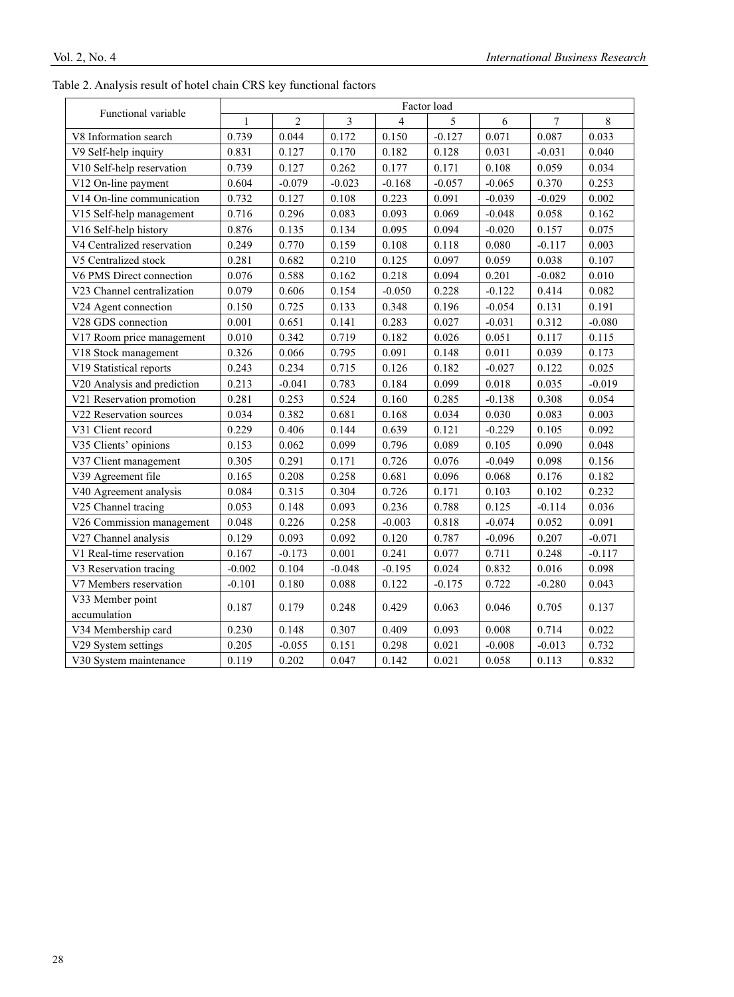|  |  | Table 2. Analysis result of hotel chain CRS key functional factors |  |  |  |  |  |  |  |
|--|--|--------------------------------------------------------------------|--|--|--|--|--|--|--|
|--|--|--------------------------------------------------------------------|--|--|--|--|--|--|--|

|                             | Factor load  |                |          |          |          |          |          |          |
|-----------------------------|--------------|----------------|----------|----------|----------|----------|----------|----------|
| Functional variable         | $\mathbf{1}$ | $\overline{2}$ | 3        | 4        | 5        | 6        | 7        | 8        |
| V8 Information search       | 0.739        | 0.044          | 0.172    | 0.150    | $-0.127$ | 0.071    | 0.087    | 0.033    |
| V9 Self-help inquiry        | 0.831        | 0.127          | 0.170    | 0.182    | 0.128    | 0.031    | $-0.031$ | 0.040    |
| V10 Self-help reservation   | 0.739        | 0.127          | 0.262    | 0.177    | 0.171    | 0.108    | 0.059    | 0.034    |
| V12 On-line payment         | 0.604        | $-0.079$       | $-0.023$ | $-0.168$ | $-0.057$ | $-0.065$ | 0.370    | 0.253    |
| V14 On-line communication   | 0.732        | 0.127          | 0.108    | 0.223    | 0.091    | $-0.039$ | $-0.029$ | 0.002    |
| V15 Self-help management    | 0.716        | 0.296          | 0.083    | 0.093    | 0.069    | $-0.048$ | 0.058    | 0.162    |
| V16 Self-help history       | 0.876        | 0.135          | 0.134    | 0.095    | 0.094    | $-0.020$ | 0.157    | 0.075    |
| V4 Centralized reservation  | 0.249        | 0.770          | 0.159    | 0.108    | 0.118    | 0.080    | $-0.117$ | 0.003    |
| V5 Centralized stock        | 0.281        | 0.682          | 0.210    | 0.125    | 0.097    | 0.059    | 0.038    | 0.107    |
| V6 PMS Direct connection    | 0.076        | 0.588          | 0.162    | 0.218    | 0.094    | 0.201    | $-0.082$ | 0.010    |
| V23 Channel centralization  | 0.079        | 0.606          | 0.154    | $-0.050$ | 0.228    | $-0.122$ | 0.414    | 0.082    |
| V24 Agent connection        | 0.150        | 0.725          | 0.133    | 0.348    | 0.196    | $-0.054$ | 0.131    | 0.191    |
| V28 GDS connection          | 0.001        | 0.651          | 0.141    | 0.283    | 0.027    | $-0.031$ | 0.312    | $-0.080$ |
| V17 Room price management   | 0.010        | 0.342          | 0.719    | 0.182    | 0.026    | 0.051    | 0.117    | 0.115    |
| V18 Stock management        | 0.326        | 0.066          | 0.795    | 0.091    | 0.148    | 0.011    | 0.039    | 0.173    |
| V19 Statistical reports     | 0.243        | 0.234          | 0.715    | 0.126    | 0.182    | $-0.027$ | 0.122    | 0.025    |
| V20 Analysis and prediction | 0.213        | $-0.041$       | 0.783    | 0.184    | 0.099    | 0.018    | 0.035    | $-0.019$ |
| V21 Reservation promotion   | 0.281        | 0.253          | 0.524    | 0.160    | 0.285    | $-0.138$ | 0.308    | 0.054    |
| V22 Reservation sources     | 0.034        | 0.382          | 0.681    | 0.168    | 0.034    | 0.030    | 0.083    | 0.003    |
| V31 Client record           | 0.229        | 0.406          | 0.144    | 0.639    | 0.121    | $-0.229$ | 0.105    | 0.092    |
| V35 Clients' opinions       | 0.153        | 0.062          | 0.099    | 0.796    | 0.089    | 0.105    | 0.090    | 0.048    |
| V37 Client management       | 0.305        | 0.291          | 0.171    | 0.726    | 0.076    | $-0.049$ | 0.098    | 0.156    |
| V39 Agreement file          | 0.165        | 0.208          | 0.258    | 0.681    | 0.096    | 0.068    | 0.176    | 0.182    |
| V40 Agreement analysis      | 0.084        | 0.315          | 0.304    | 0.726    | 0.171    | 0.103    | 0.102    | 0.232    |
| V25 Channel tracing         | 0.053        | 0.148          | 0.093    | 0.236    | 0.788    | 0.125    | $-0.114$ | 0.036    |
| V26 Commission management   | 0.048        | 0.226          | 0.258    | $-0.003$ | 0.818    | $-0.074$ | 0.052    | 0.091    |
| V27 Channel analysis        | 0.129        | 0.093          | 0.092    | 0.120    | 0.787    | $-0.096$ | 0.207    | $-0.071$ |
| V1 Real-time reservation    | 0.167        | $-0.173$       | 0.001    | 0.241    | 0.077    | 0.711    | 0.248    | $-0.117$ |
| V3 Reservation tracing      | $-0.002$     | 0.104          | $-0.048$ | $-0.195$ | 0.024    | 0.832    | 0.016    | 0.098    |
| V7 Members reservation      | $-0.101$     | 0.180          | 0.088    | 0.122    | $-0.175$ | 0.722    | $-0.280$ | 0.043    |
| V33 Member point            | 0.187        | 0.179          | 0.248    | 0.429    | 0.063    | 0.046    | 0.705    | 0.137    |
| accumulation                |              |                |          |          |          |          |          |          |
| V34 Membership card         | 0.230        | 0.148          | 0.307    | 0.409    | 0.093    | 0.008    | 0.714    | 0.022    |
| V29 System settings         | 0.205        | $-0.055$       | 0.151    | 0.298    | 0.021    | $-0.008$ | $-0.013$ | 0.732    |
| V30 System maintenance      | 0.119        | 0.202          | 0.047    | 0.142    | 0.021    | 0.058    | 0.113    | 0.832    |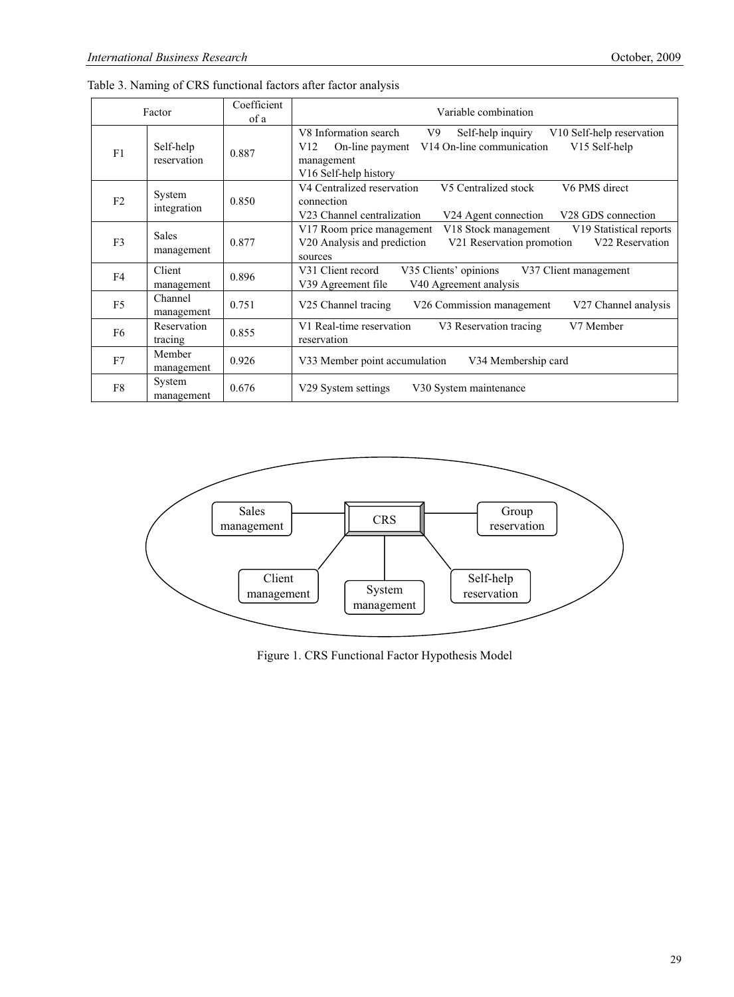| Factor         |                            | Coefficient<br>of a | Variable combination                                                                                                                                                                                                             |  |  |  |  |  |
|----------------|----------------------------|---------------------|----------------------------------------------------------------------------------------------------------------------------------------------------------------------------------------------------------------------------------|--|--|--|--|--|
| F1             | Self-help<br>reservation   | 0.887               | V8 Information search<br>Self-help inquiry<br>V <sub>10</sub> Self-help reservation<br>V9<br>V14 On-line communication<br>V <sub>15</sub> Self-help<br>On-line payment<br>V12<br>management<br>V <sub>16</sub> Self-help history |  |  |  |  |  |
| F2             | System<br>integration      | 0.850               | V4 Centralized reservation<br>V6 PMS direct<br>V5 Centralized stock<br>connection<br>V23 Channel centralization<br>V <sub>28</sub> GDS connection<br>V24 Agent connection                                                        |  |  |  |  |  |
| F <sub>3</sub> | <b>Sales</b><br>management | 0.877               | V18 Stock management<br>V19 Statistical reports<br>V <sub>17</sub> Room price management<br>V20 Analysis and prediction<br>V21 Reservation promotion<br>V22 Reservation<br>sources                                               |  |  |  |  |  |
| F4             | Client<br>management       | 0.896               | V35 Clients' opinions<br>V31 Client record<br>V37 Client management<br>V40 Agreement analysis<br>V39 Agreement file                                                                                                              |  |  |  |  |  |
| F <sub>5</sub> | Channel<br>management      | 0.751               | V25 Channel tracing<br>V26 Commission management<br>V27 Channel analysis                                                                                                                                                         |  |  |  |  |  |
| F6             | Reservation<br>tracing     | 0.855               | V1 Real-time reservation<br>V7 Member<br>V3 Reservation tracing<br>reservation                                                                                                                                                   |  |  |  |  |  |
| F7             | Member<br>management       | 0.926               | V34 Membership card<br>V33 Member point accumulation                                                                                                                                                                             |  |  |  |  |  |
| F8             | System<br>management       | 0.676               | V29 System settings<br>V30 System maintenance                                                                                                                                                                                    |  |  |  |  |  |

Table 3. Naming of CRS functional factors after factor analysis



Figure 1. CRS Functional Factor Hypothesis Model